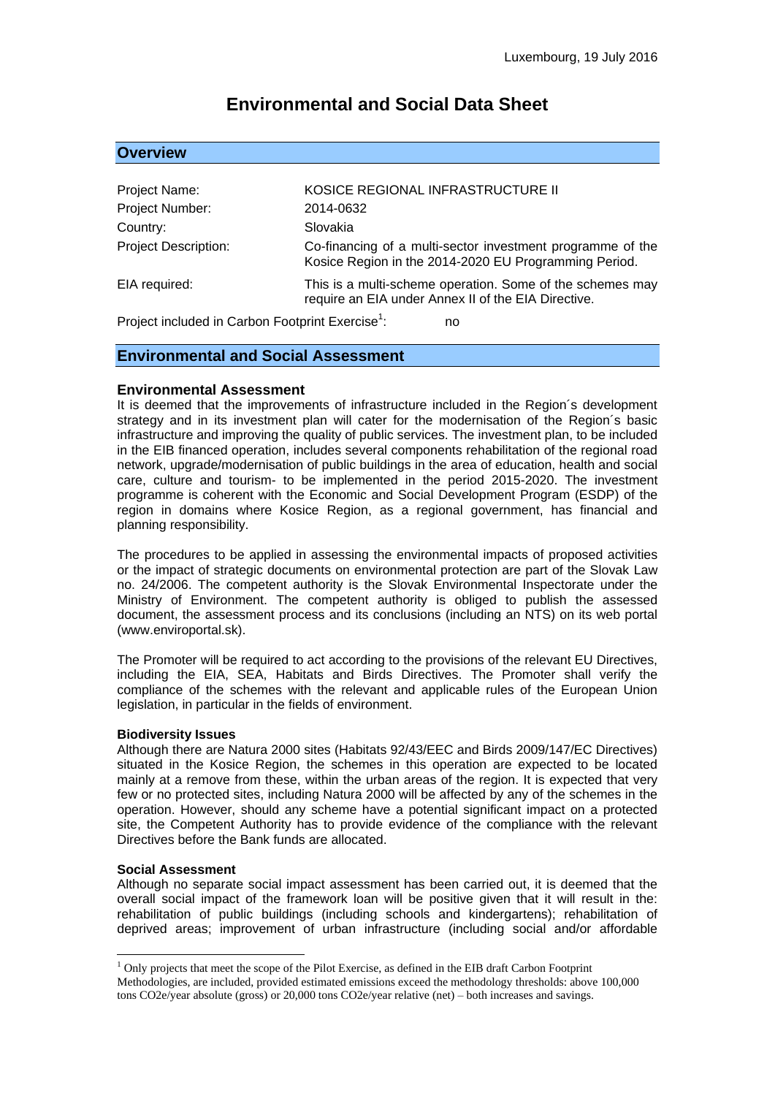# **Environmental and Social Data Sheet**

## **Overview**

| Project Name:                                                      | KOSICE REGIONAL INFRASTRUCTURE II                                                                                   |
|--------------------------------------------------------------------|---------------------------------------------------------------------------------------------------------------------|
| Project Number:                                                    | 2014-0632                                                                                                           |
| Country:                                                           | Slovakia                                                                                                            |
| <b>Project Description:</b>                                        | Co-financing of a multi-sector investment programme of the<br>Kosice Region in the 2014-2020 EU Programming Period. |
| EIA required:                                                      | This is a multi-scheme operation. Some of the schemes may<br>require an EIA under Annex II of the EIA Directive.    |
| Project included in Carbon Footprint Exercise <sup>1</sup> :<br>no |                                                                                                                     |

Project included in Carbon Footprint Exercise<sup>1</sup>:

## **Environmental and Social Assessment**

#### **Environmental Assessment**

It is deemed that the improvements of infrastructure included in the Region´s development strategy and in its investment plan will cater for the modernisation of the Region´s basic infrastructure and improving the quality of public services. The investment plan, to be included in the EIB financed operation, includes several components rehabilitation of the regional road network, upgrade/modernisation of public buildings in the area of education, health and social care, culture and tourism- to be implemented in the period 2015-2020. The investment programme is coherent with the Economic and Social Development Program (ESDP) of the region in domains where Kosice Region, as a regional government, has financial and planning responsibility.

The procedures to be applied in assessing the environmental impacts of proposed activities or the impact of strategic documents on environmental protection are part of the Slovak Law no. 24/2006. The competent authority is the Slovak Environmental Inspectorate under the Ministry of Environment. The competent authority is obliged to publish the assessed document, the assessment process and its conclusions (including an NTS) on its web portal (www.enviroportal.sk).

The Promoter will be required to act according to the provisions of the relevant EU Directives, including the EIA, SEA, Habitats and Birds Directives. The Promoter shall verify the compliance of the schemes with the relevant and applicable rules of the European Union legislation, in particular in the fields of environment.

#### **Biodiversity Issues**

Although there are Natura 2000 sites (Habitats 92/43/EEC and Birds 2009/147/EC Directives) situated in the Kosice Region, the schemes in this operation are expected to be located mainly at a remove from these, within the urban areas of the region. It is expected that very few or no protected sites, including Natura 2000 will be affected by any of the schemes in the operation. However, should any scheme have a potential significant impact on a protected site, the Competent Authority has to provide evidence of the compliance with the relevant Directives before the Bank funds are allocated.

#### **Social Assessment**

<u>.</u>

Although no separate social impact assessment has been carried out, it is deemed that the overall social impact of the framework loan will be positive given that it will result in the: rehabilitation of public buildings (including schools and kindergartens); rehabilitation of deprived areas; improvement of urban infrastructure (including social and/or affordable

<sup>&</sup>lt;sup>1</sup> Only projects that meet the scope of the Pilot Exercise, as defined in the EIB draft Carbon Footprint Methodologies, are included, provided estimated emissions exceed the methodology thresholds: above 100,000 tons CO2e/year absolute (gross) or 20,000 tons CO2e/year relative (net) – both increases and savings.